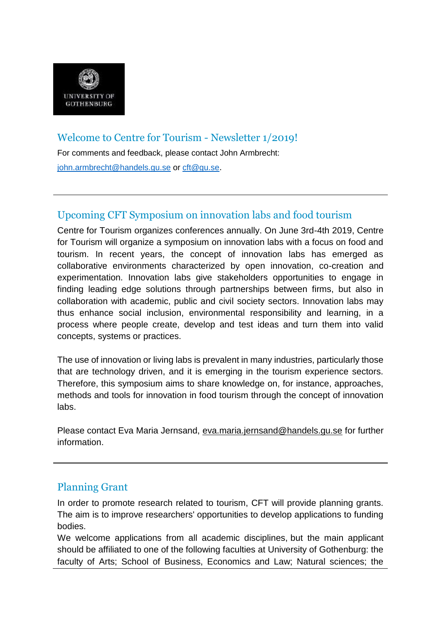

# Welcome to Centre for Tourism - Newsletter 1/2019!

For comments and feedback, please contact John Armbrecht: [john.armbrecht@handels.gu.se](mailto:john.armbrecht@handels.gu.se) or [cft@gu.se](mailto:cft@gu.se).

# Upcoming CFT Symposium on innovation labs and food tourism

Centre for Tourism organizes conferences annually. On June 3rd-4th 2019, Centre for Tourism will organize a symposium on innovation labs with a focus on food and tourism. In recent years, the concept of innovation labs has emerged as collaborative environments characterized by open innovation, co-creation and experimentation. Innovation labs give stakeholders opportunities to engage in finding leading edge solutions through partnerships between firms, but also in collaboration with academic, public and civil society sectors. Innovation labs may thus enhance social inclusion, environmental responsibility and learning, in a process where people create, develop and test ideas and turn them into valid concepts, systems or practices.

The use of innovation or living labs is prevalent in many industries, particularly those that are technology driven, and it is emerging in the tourism experience sectors. Therefore, this symposium aims to share knowledge on, for instance, approaches, methods and tools for innovation in food tourism through the concept of innovation labs.

Please contact Eva Maria Jernsand, [eva.maria.jernsand@handels.gu.se](mailto:eva.maria.jernsand@handels.gu.se) for further information.

## Planning Grant

In order to promote research related to tourism, CFT will provide planning grants. The aim is to improve researchers' opportunities to develop applications to funding bodies.

We welcome applications from all academic disciplines, but the main applicant should be affiliated to one of the following faculties at University of Gothenburg: the faculty of Arts; School of Business, Economics and Law; Natural sciences; the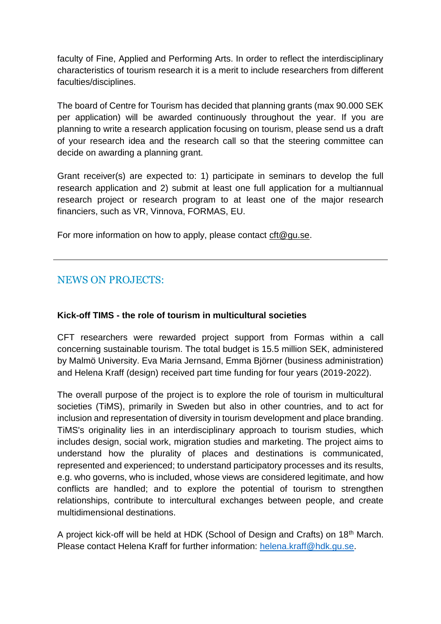faculty of Fine, Applied and Performing Arts. In order to reflect the interdisciplinary characteristics of tourism research it is a merit to include researchers from different faculties/disciplines.

The board of Centre for Tourism has decided that planning grants (max 90.000 SEK per application) will be awarded continuously throughout the year. If you are planning to write a research application focusing on tourism, please send us a draft of your research idea and the research call so that the steering committee can decide on awarding a planning grant.

Grant receiver(s) are expected to: 1) participate in seminars to develop the full research application and 2) submit at least one full application for a multiannual research project or research program to at least one of the major research financiers, such as VR, Vinnova, FORMAS, EU.

For more information on how to apply, please contact  $\text{ctt@gu.se.}$ 

## NEWS ON PROJECTS:

#### **Kick-off TIMS - the role of tourism in multicultural societies**

CFT researchers were rewarded project support from Formas within a call concerning sustainable tourism. The total budget is 15.5 million SEK, administered by Malmö University. Eva Maria Jernsand, Emma Björner (business administration) and Helena Kraff (design) received part time funding for four years (2019-2022).

The overall purpose of the project is to explore the role of tourism in multicultural societies (TiMS), primarily in Sweden but also in other countries, and to act for inclusion and representation of diversity in tourism development and place branding. TiMS's originality lies in an interdisciplinary approach to tourism studies, which includes design, social work, migration studies and marketing. The project aims to understand how the plurality of places and destinations is communicated, represented and experienced; to understand participatory processes and its results, e.g. who governs, who is included, whose views are considered legitimate, and how conflicts are handled; and to explore the potential of tourism to strengthen relationships, contribute to intercultural exchanges between people, and create multidimensional destinations.

A project kick-off will be held at HDK (School of Design and Crafts) on 18<sup>th</sup> March. Please contact Helena Kraff for further information: [helena.kraff@hdk.gu.se.](mailto:helena.kraff@hdk.gu.se)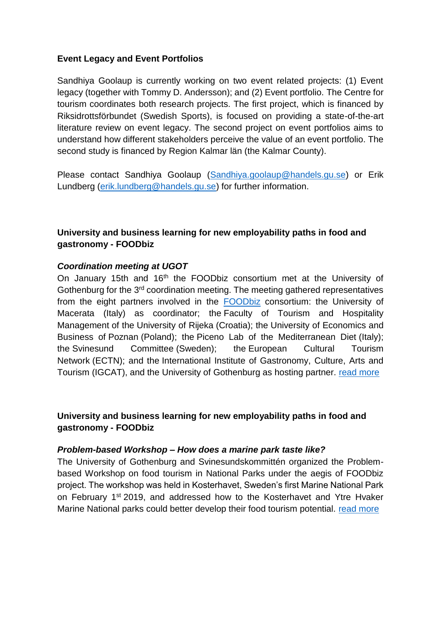#### **Event Legacy and Event Portfolios**

Sandhiya Goolaup is currently working on two event related projects: (1) Event legacy (together with Tommy D. Andersson); and (2) Event portfolio. The Centre for tourism coordinates both research projects. The first project, which is financed by Riksidrottsförbundet (Swedish Sports), is focused on providing a state-of-the-art literature review on event legacy. The second project on event portfolios aims to understand how different stakeholders perceive the value of an event portfolio. The second study is financed by Region Kalmar län (the Kalmar County).

Please contact Sandhiya Goolaup [\(Sandhiya.goolaup@handels.gu.se\)](mailto:Sandhiya.goolaup@handels.gu.se) or Erik Lundberg [\(erik.lundberg@handels.gu.se\)](mailto:erik.lundberg@handels.gu.se) for further information.

### **University and business learning for new employability paths in food and gastronomy - FOODbiz**

#### *Coordination meeting at UGOT*

On January 15th and 16<sup>th</sup> the FOODbiz consortium met at the University of Gothenburg for the 3<sup>rd</sup> coordination meeting. The meeting gathered representatives from the eight partners involved in the **[FOODbiz](http://foodbiz.info/)** consortium: the University of Macerata (Italy) as coordinator; the Faculty of Tourism and Hospitality Management of the University of Rijeka (Croatia); the University of Economics and Business of Poznan (Poland); the Piceno Lab of the Mediterranean Diet (Italy); the Svinesund Committee (Sweden); the European Cultural Tourism Network (ECTN); and the International Institute of Gastronomy, Culture, Arts and Tourism (IGCAT), and the University of Gothenburg as hosting partner. [read more](https://cft.handels.gu.se/english/news-and-events/news/d/foodbiz---coordination-meeting-at-ugot.cid1617526)

#### **University and business learning for new employability paths in food and gastronomy - FOODbiz**

#### *Problem-based Workshop – How does a marine park taste like?*

The University of Gothenburg and Svinesundskommittén organized the Problembased Workshop on food tourism in National Parks under the aegis of FOODbiz project. The workshop was held in Kosterhavet, Sweden's first Marine National Park on February 1<sup>st</sup> 2019, and addressed how to the Kosterhavet and Ytre Hvaker Marine National parks could better develop their food tourism potential. [read more](https://cft.handels.gu.se/english/news-and-events/news/d/foodbiz---problem-based-workshop---how-does-a-marine-park-taste-like-.cid1617527)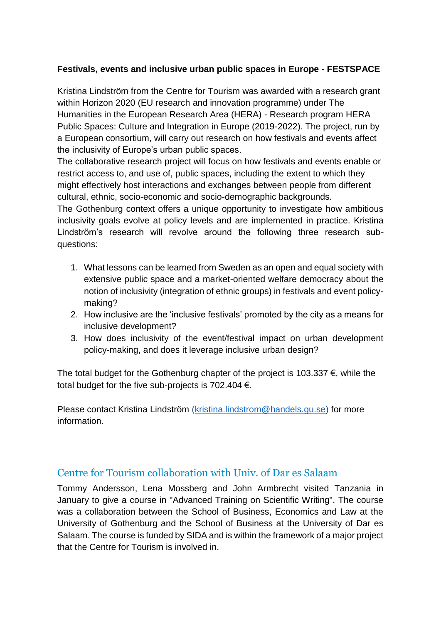### **Festivals, events and inclusive urban public spaces in Europe - FESTSPACE**

Kristina Lindström from the Centre for Tourism was awarded with a research grant within Horizon 2020 (EU research and innovation programme) under The Humanities in the European Research Area (HERA) - Research program HERA Public Spaces: Culture and Integration in Europe (2019-2022). The project, run by a European consortium, will carry out research on how festivals and events affect the inclusivity of Europe's urban public spaces.

The collaborative research project will focus on how festivals and events enable or restrict access to, and use of, public spaces, including the extent to which they might effectively host interactions and exchanges between people from different cultural, ethnic, socio-economic and socio-demographic backgrounds.

The Gothenburg context offers a unique opportunity to investigate how ambitious inclusivity goals evolve at policy levels and are implemented in practice. Kristina Lindström's research will revolve around the following three research subquestions:

- 1. What lessons can be learned from Sweden as an open and equal society with extensive public space and a market-oriented welfare democracy about the notion of inclusivity (integration of ethnic groups) in festivals and event policymaking?
- 2. How inclusive are the 'inclusive festivals' promoted by the city as a means for inclusive development?
- 3. How does inclusivity of the event/festival impact on urban development policy-making, and does it leverage inclusive urban design?

The total budget for the Gothenburg chapter of the project is 103.337  $\epsilon$ , while the total budget for the five sub-projects is 702.404  $\epsilon$ .

Please contact Kristina Lindström [\(kristina.lindstrom@handels.gu.se\)](mailto:Kristina.lindstrom@handels.gu.se) for more information.

## Centre for Tourism collaboration with Univ. of Dar es Salaam

Tommy Andersson, Lena Mossberg and John Armbrecht visited Tanzania in January to give a course in "Advanced Training on Scientific Writing". The course was a collaboration between the School of Business, Economics and Law at the University of Gothenburg and the School of Business at the University of Dar es Salaam. The course is funded by SIDA and is within the framework of a major project that the Centre for Tourism is involved in.